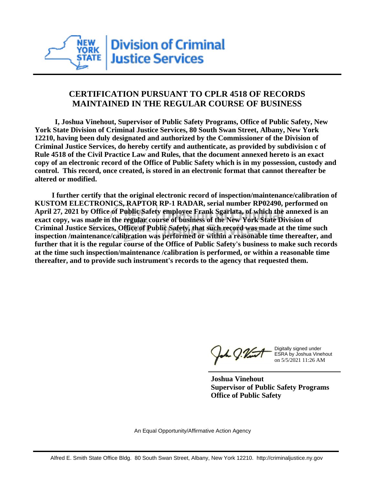

## **CERTIFICATION PURSUANT TO CPLR 4518 OF RECORDS MAINTAINED IN THE REGULAR COURSE OF BUSINESS**

 **I, Joshua Vinehout, Supervisor of Public Safety Programs, Office of Public Safety, New York State Division of Criminal Justice Services, 80 South Swan Street, Albany, New York 12210, having been duly designated and authorized by the Commissioner of the Division of Criminal Justice Services, do hereby certify and authenticate, as provided by subdivision c of Rule 4518 of the Civil Practice Law and Rules, that the document annexed hereto is an exact copy of an electronic record of the Office of Public Safety which is in my possession, custody and control. This record, once created, is stored in an electronic format that cannot thereafter be altered or modified.**

 **I further certify that the original electronic record of inspection/maintenance/calibration of KUSTOM ELECTRONICS, RAPTOR RP-1 RADAR, serial number RP02490, performed on April 27, 2021 by Office of Public Safety employee Frank Sgarlata, of which the annexed is an exact copy, was made in the regular course of business of the New York State Division of Criminal Justice Services, Office of Public Safety, that such record was made at the time such inspection /maintenance/calibration was performed or within a reasonable time thereafter, and further that it is the regular course of the Office of Public Safety's business to make such records at the time such inspection/maintenance /calibration is performed, or within a reasonable time thereafter, and to provide such instrument's records to the agency that requested them.**

the g. Vint

Digitally signed under ESRA by Joshua Vinehout on 5/5/2021 11:26 AM

**Joshua Vinehout Supervisor of Public Safety Programs Office of Public Safety**

An Equal Opportunity/Affirmative Action Agency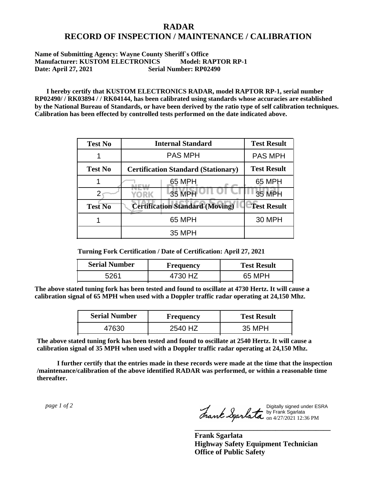## **RADAR RECORD OF INSPECTION / MAINTENANCE / CALIBRATION**

## **Name of Submitting Agency: Wayne County Sheriff`s Office Manufacturer: KUSTOM ELECTRONICS Model: RAPTOR RP-1 Date: April 27, 2021 Serial Number: RP02490**

 **I hereby certify that KUSTOM ELECTRONICS RADAR, model RAPTOR RP-1, serial number RP02490/ / RK03894 / / RK04144, has been calibrated using standards whose accuracies are established by the National Bureau of Standards, or have been derived by the ratio type of self calibration techniques. Calibration has been effected by controlled tests performed on the date indicated above.**

| <b>Test No</b> | <b>Internal Standard</b>                   | <b>Test Result</b> |
|----------------|--------------------------------------------|--------------------|
|                | <b>PAS MPH</b>                             | <b>PAS MPH</b>     |
| <b>Test No</b> | <b>Certification Standard (Stationary)</b> | <b>Test Result</b> |
|                | 65 MPH                                     | 65 MPH             |
|                | 35 MPH<br>YORK                             | 35 MPH             |
| <b>Test No</b> | <b>Certification Standard (Moving)</b>     | <b>Test Result</b> |
|                | 65 MPH                                     | <b>30 MPH</b>      |
|                | 35 MPH                                     |                    |

**Turning Fork Certification / Date of Certification: April 27, 2021**

| <b>Serial Number</b> | Frequency | <b>Test Result</b> |
|----------------------|-----------|--------------------|
| 5261                 |           | 65 MPH             |

**The above stated tuning fork has been tested and found to oscillate at 4730 Hertz. It will cause a calibration signal of 65 MPH when used with a Doppler traffic radar operating at 24,150 Mhz.**

| <b>Serial Number</b> | Frequency | <b>Test Result</b> |
|----------------------|-----------|--------------------|
| 47630                | 2540 HZ   | 35 MPH             |

**The above stated tuning fork has been tested and found to oscillate at 2540 Hertz. It will cause a calibration signal of 35 MPH when used with a Doppler traffic radar operating at 24,150 Mhz.**

 **I further certify that the entries made in these records were made at the time that the inspection /maintenance/calibration of the above identified RADAR was performed, or within a reasonable time thereafter.**

 *page 1 of 2* 

Digitally signed under ESRA by Frank Sgarlata on 4/27/2021 12:36 PM

**\_\_\_\_\_\_\_\_\_\_\_\_\_\_\_\_\_\_\_\_\_\_\_\_\_\_\_\_\_\_\_\_\_\_\_\_\_**

**Frank Sgarlata Highway Safety Equipment Technician Office of Public Safety**